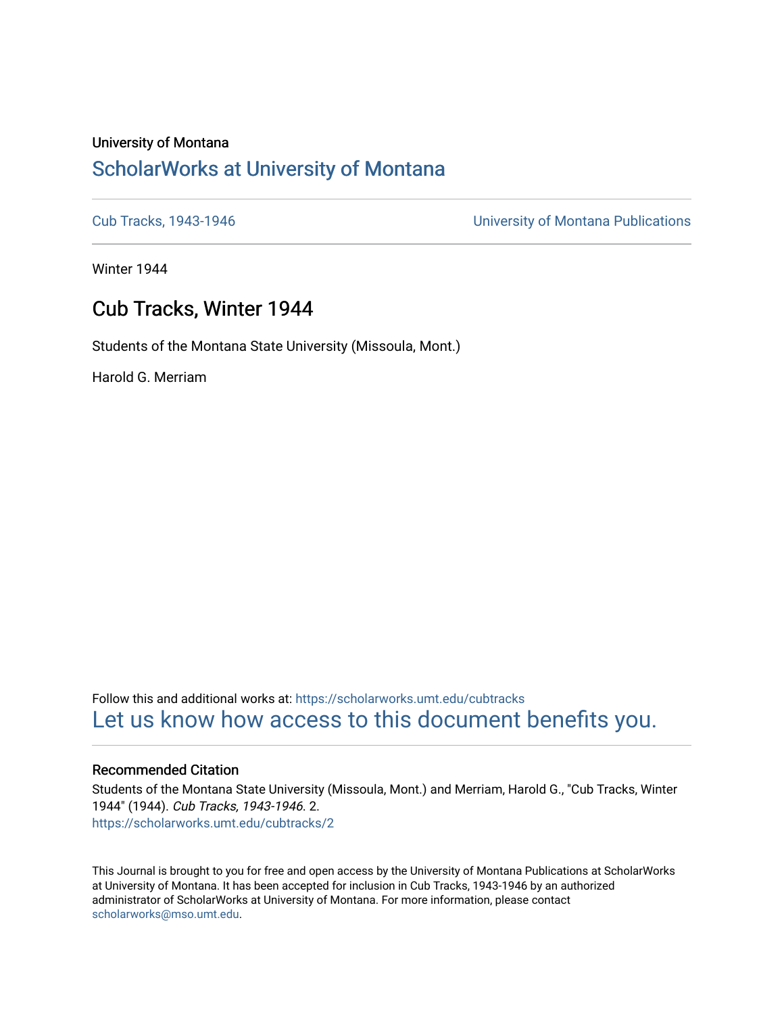# University of Montana [ScholarWorks at University of Montana](https://scholarworks.umt.edu/)

[Cub Tracks, 1943-1946](https://scholarworks.umt.edu/cubtracks) [University of Montana Publications](https://scholarworks.umt.edu/umpubs) 

Winter 1944

# Cub Tracks, Winter 1944

Students of the Montana State University (Missoula, Mont.)

Harold G. Merriam

Follow this and additional works at: [https://scholarworks.umt.edu/cubtracks](https://scholarworks.umt.edu/cubtracks?utm_source=scholarworks.umt.edu%2Fcubtracks%2F2&utm_medium=PDF&utm_campaign=PDFCoverPages) [Let us know how access to this document benefits you.](https://goo.gl/forms/s2rGfXOLzz71qgsB2) 

## Recommended Citation

Students of the Montana State University (Missoula, Mont.) and Merriam, Harold G., "Cub Tracks, Winter 1944" (1944). Cub Tracks, 1943-1946. 2. [https://scholarworks.umt.edu/cubtracks/2](https://scholarworks.umt.edu/cubtracks/2?utm_source=scholarworks.umt.edu%2Fcubtracks%2F2&utm_medium=PDF&utm_campaign=PDFCoverPages) 

This Journal is brought to you for free and open access by the University of Montana Publications at ScholarWorks at University of Montana. It has been accepted for inclusion in Cub Tracks, 1943-1946 by an authorized administrator of ScholarWorks at University of Montana. For more information, please contact [scholarworks@mso.umt.edu.](mailto:scholarworks@mso.umt.edu)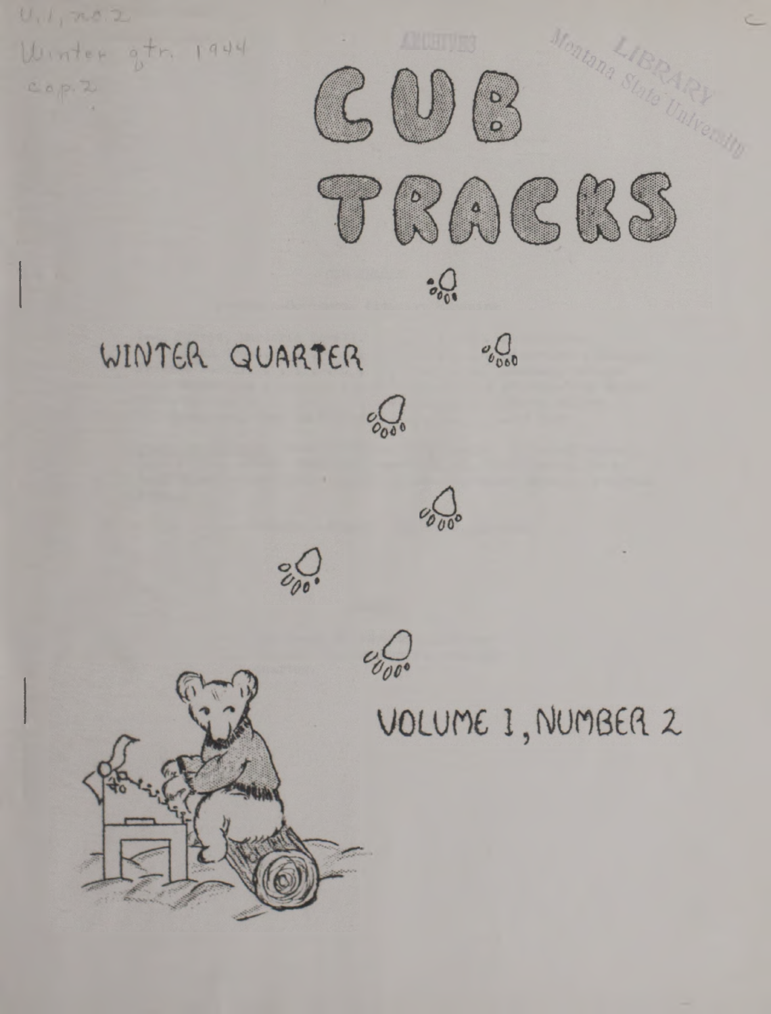



Afontana

 $\frac{1}{6000}$ WINTER QUARTER



 $\frac{1}{20000}$ 

 $\sqrt[6]{\frac{1}{100}}$ 



VOLUME I, NUMBER 2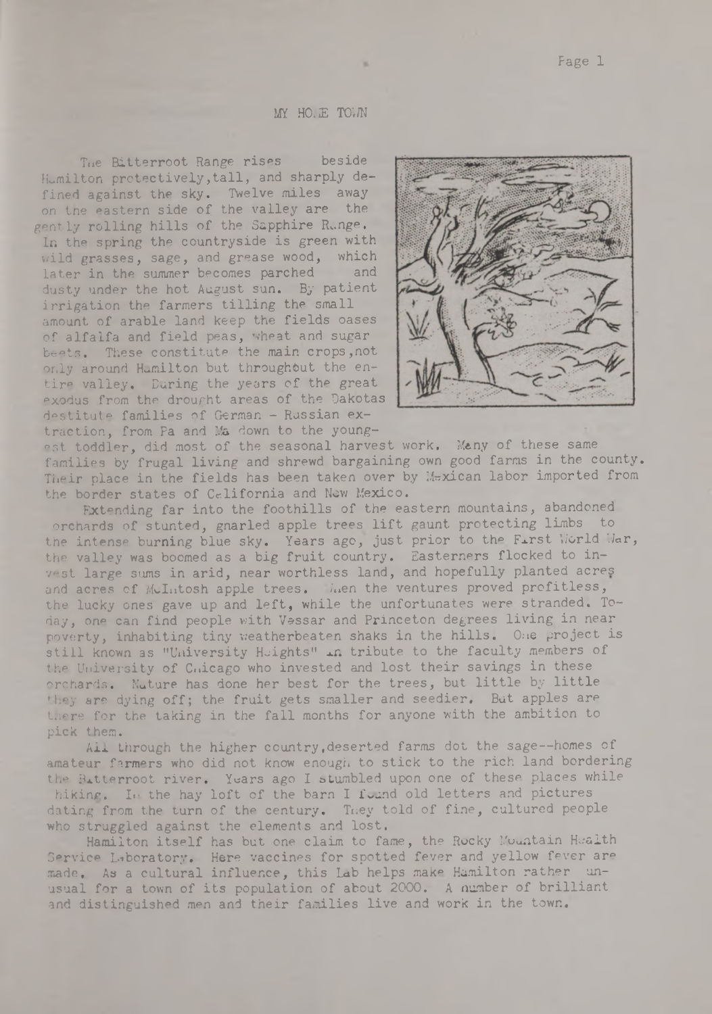MY HOLE TOWN

Tue Bitterroot Range rises beside Hamilton protectively, tall, and sharply defined against the sky. Twelve miles away on the eastern side of the valley are the gently rolling hills of the Sapphire Runge. In the spring the countryside is green with wild grasses, sage, and grease wood, which later in the summer becomes parched and dusty under the hot August sun. By patient irrigation the farmers tilling the small amount of arable land keep the fields oases of alfalfa and field peas, wheat and sugar beets. These constitute the main crops,not only around Hamilton but throughout the entire valley. During the years of the great exodus from the drought areas of the Dakotas destitute families of German - Russian extraction, from Pa and Ma down to the young-

est toddler, did most of the seasonal harvest work. Many of these same families by frugal living and shrewd bargaining own good farms in the county. Their place in the fields has been taken over by Mexican labor imported from the border states of California and New Mexico.

Extending far into the foothills of the eastern mountains, abandoned orchards of stunted, gnarled apple trees lift gaunt protecting limbs to the intense burning blue sky. Years ago, just prior to the First World War, the valley was boomed as a big fruit country. Easterners flocked to invest large sums in arid, near worthless land, and hopefully planted acres and acres of McIntosh apple trees. Muen the ventures proved profitless, the lucky ones gave up and left, while the unfortunates were stranded. Today, one can find people with Vessar and Princeton degrees living in near poverty, inhabiting tiny weatherbeaten shaks in the hills. One project is still known as "University Heights" in tribute to the faculty members of the University of Cnicago who invested and lost their savings in these orchards. Nature has done her best for the trees, but little by little they are dying off; the fruit gets smaller and seedier. But apples are there for the taking in the fall months for anyone with the ambition to pick them.

Ail through the higher country.deserted farms dot the sage— homes of amateur farmers who did not know enough to stick to the rich land bordering the Bitterroot river. Years ago I stumbled upon one of these places while hiking. In the hay loft of the barn I found old letters and pictures dating from the turn of the century. They told of fine, cultured people who struggled against the elements and lost.

Hamilton itself has but one claim to fame, the Rocky Mountain Health Service Laboratory. Here vaccines for spotted fever and yellow fever are made. As a cultural influence, this Lab helps make Hamilton rather unusual for a town of its population of about 2000. A number of brilliant and distinguished men and their families live and work in the town.



Page 1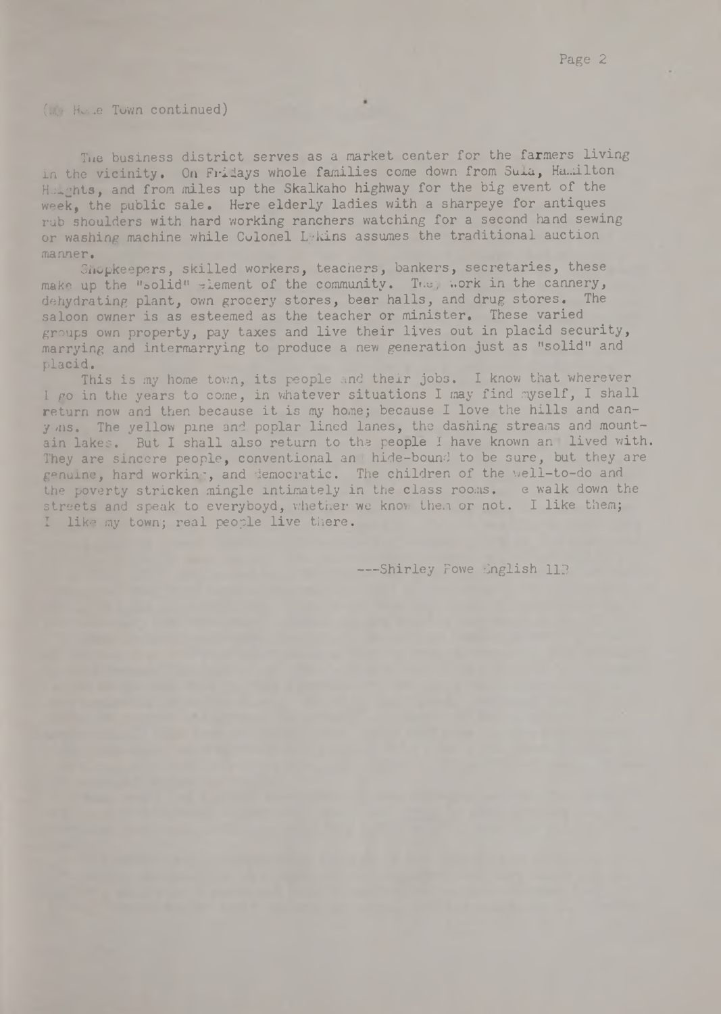## (My Hu...e Town continued)

Tue business district serves as a market center for the farmers living in the vicinity. On Fridays whole families come down from Sula, Hamilton Heights, and from miles up the Skalkaho highway for the big event of the week, the public sale. Here elderly ladies with a sharpeye for antiques rub shoulders with hard working ranchers watching for a second hand sewing or washing machine while Cvlonel Lykins assumes the traditional auction manner.

Shopkeepers, skilled workers, teachers, bankers, secretaries, these make up the "solid" element of the community. They work in the cannery, dehydrating plant, own grocery stores, beer halls, and drug stores. The saloon owner is as esteemed as the teacher or minister. These varied groups own property, pay taxes and live their lives out in placid security, marrying and intermarrying to produce a new generation just as "solid" and placid.

This is my home town, its people and their jobs. I know that wherever I go in the years to come, in whatever situations I may find myself, I shall return now and then because it is my home; because I love the hills and canyons. The yellow pine and poplar lined lanes, the dashing streams and mountain lakes. But I shall also return to the people I have known an lived with. They are sincere people, conventional and hide-bound to be sure, but they are genuine, hard working, and democratic. The children of the well-to-do and the poverty stricken mingle intimately in the class rooms. e walk down the streets and speak to everyboyd, whether we know them or not. I like them; I like my town; real people live there.

--Shirley Fowe English 113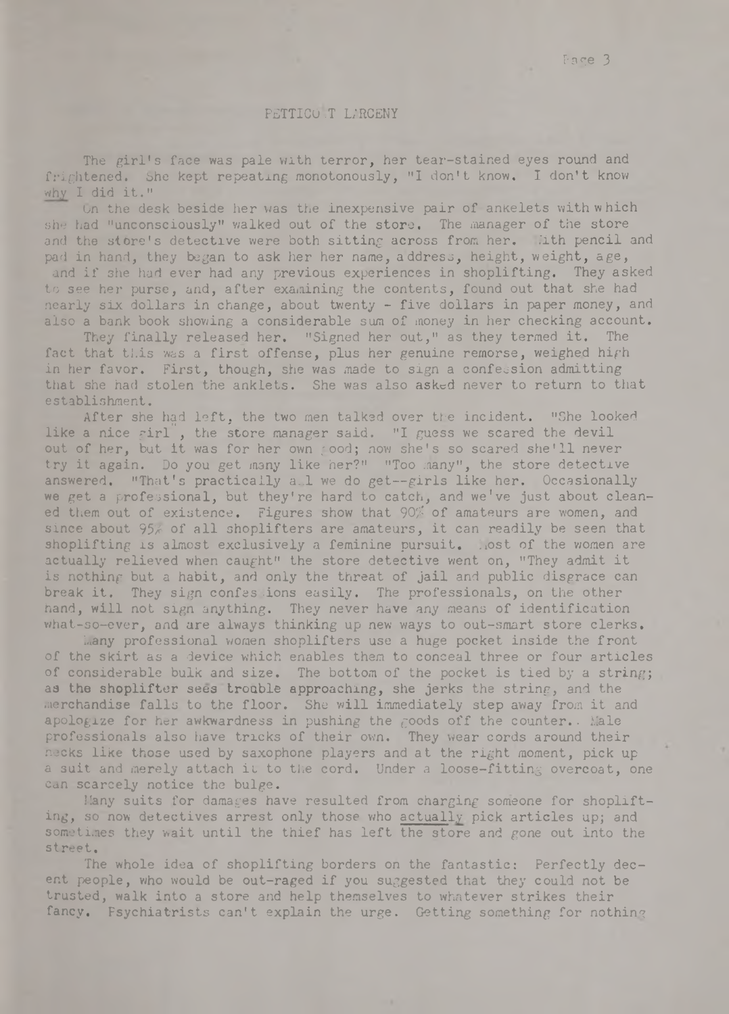#### PETTICO T LARCENY

The girl's face was pale with terror, her tear-stained eyes round and frightened. She kept repeating monotonously, "I don't know. I don't know why I did it."

On the desk beside her was the inexpensive pair of ankelets with which she had "unconsciously" walked out of the store. The manager of the store and the store's detective were both sitting across from her. With pencil and pad in hand, they began to ask her her name, address, height, weight, age, and if she had ever had any previous experiences in shoplifting. They asked to see her purse, and, after examining the contents, found out that she had nearly six dollars in change, about twenty - five dollars in paper money, and also a bank book showing a considerable sum of money in her checking account.

They finally released her. "Signed her out," as they termed it. The fact that this was a first offense, plus her genuine remorse, weighed high in her favor. First, though, she was made to sign a confession admitting that she had stolen the anklets. She was also asked never to return to that establishment.

After she had left, the two men talked over the incident. "She looked like a nice girl, the store manager said. "I guess we scared the devil out of her, but it was for her own good; now she's so scared she'll never try it again. Do you get many like her?" "Too many", the store detective answered. "That's practically a<sup>1</sup> we do get--girls like her. Occasionally we get a professional, but they're hard to catch, and we've just about cleaned them out of existence. Figures show that 90% of amateurs are women, and since about 95% of all shoplifters are amateurs, it can readily be seen that shoplifting is almost exclusively a feminine pursuit. Most of the women are actually relieved when caught" the store detective went on, "They admit it is nothing but a habit, and only the threat of jail and public disgrace can break it. They sign confes ions easily. The professionals, on the other hand, will not sign anything. They never have any means of identification what-so-ever, and are always thinking up new ways to out-smart store clerks.

Many professional women shoplifters use a huge pocket inside the front of the skirt as a device which enables them to conceal three or four articles of considerable bulk and size. The bottom of the pocket is tied by a string; as the shoplifter sees trouble approaching, she jerks the string, and the merchandise falls to the floor. She will immediately step away from it and apologize for her awkwardness in pushing the goods off the counter.. Male professionals also have tricks of their own. They wear cords around their necks like those used by saxophone players and at the right moment, pick up a suit and merely attach it to the cord. Under a loose-fitting overcoat, one can scarcely notice the bulge.

Many suits for damages have resulted from charging someone for shoplifting, so now detectives arrest only those who actually pick articles up; and sometimes they wait until the thief has left the store and gone out into the street.

The whole idea of shoplifting borders on the fantastic: Perfectly decent people, who would be out-raged if you suggested that they could not be trusted, walk into a store and help themselves to whatever strikes their fancy. Psychiatrists can't explain the urge. Getting something for nothing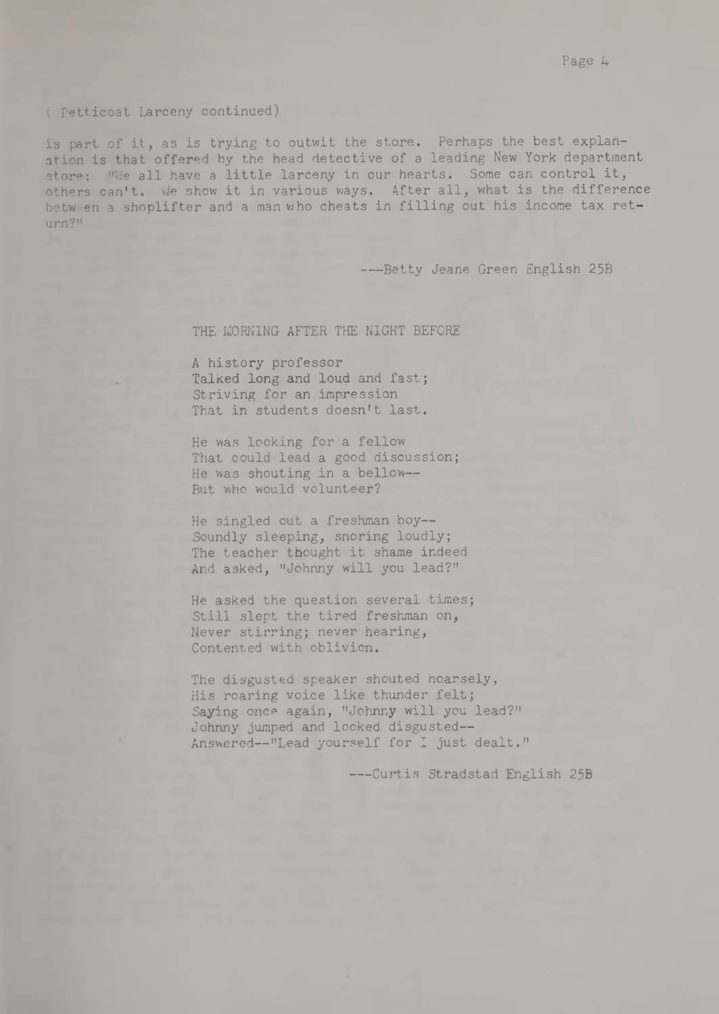#### ( Petticoat Larceny continued)

is part of it, as is trying to outwit the store. Perhaps the best explanation is that offered by the head detective of a leading New York department store: "We all have a little larceny in our hearts. Some can control it, others can't. We show it in various ways. After all, what is the difference between a shoplifter and a man who cheats in filling out his income tax return?"

---Betty Jeane Green English 25B

## THE MORNING AFTER THE NIGHT BEFORE

A history professor Talked long and loud and fast; Striving for an impression That in students doesn't last.

He was looking for a fellow That could lead a good discussion; He was shouting in a bellow— But who would volunteer?

He singled out a freshman boy— Soundly sleeping, snoring loudly; The teacher thought it shame indeed And asked, "Johnny will you lead?"

He asked the question several times; Still slept the tired freshman on, Never stirring; never hearing, Contented with oblivion.

The disgusted speaker shouted hoarsely, His roaring voice like thunder felt; Saying once again, "Johnny will you lead?" Johnny jumped and looked disgusted— Answered— "Lead yourself for I just dealt."

---Curtis Stradstad English 25B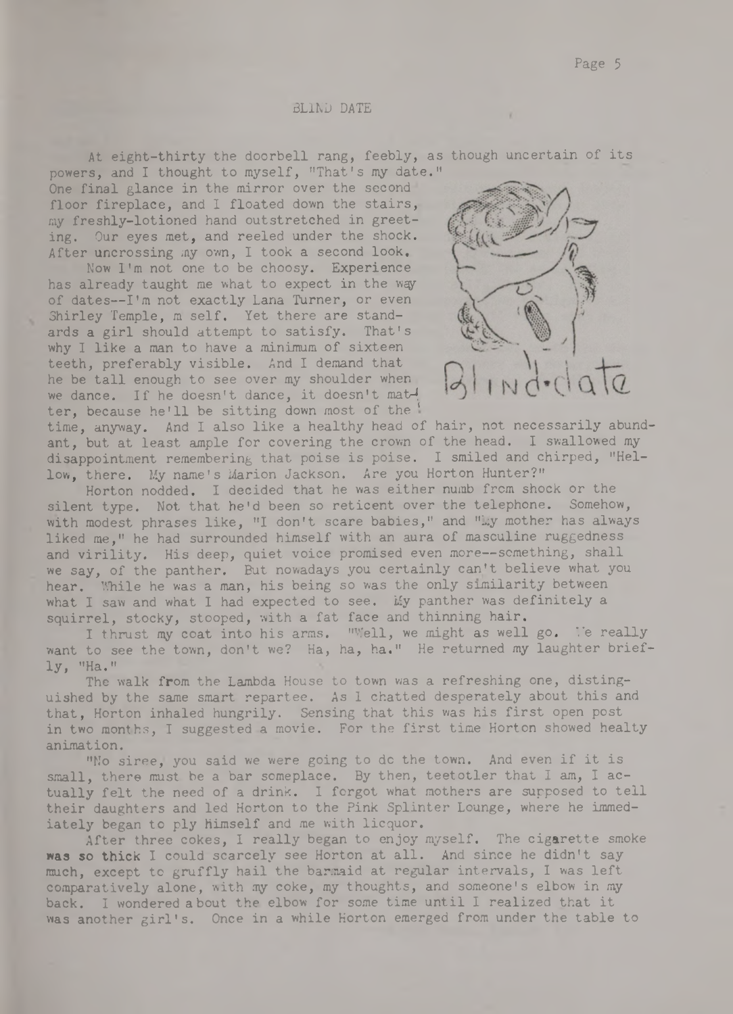Page 5

#### BLIND DATE

At eight-thirty the doorbell rang, feebly, as though uncertain of its powers, and I thought to myself, "That's my date."

One final glance in the mirror over the second floor fireplace, and I floated down the stairs, my freshly-lotioned hand outstretched in greeting. Our eyes met, and reeled under the shock. After uncrossing my own, I took a second look.

Now I'm not one to be choosy. Experience has already taught me what to expect in the way of dates— I'm not exactly Lana Turner, or even Shirley Temple, m self. Yet there are standards a girl should attempt to satisfy. That's why I like a man to have a minimum of sixteen teeth, preferably visible. And I demand that he be tall enough to see over my shoulder when we dance. If he doesn't dance, it doesn't matter, because he'll be sitting down most of the '



time, anyway. And I also like a healthy head of hair, not necessarily abundant, but at least ample for covering the crown of the head. I swallowed my disappointment remembering that poise is poise. I smiled and chirped, "Hellow, there. My name's Marion Jackson. Are you Horton Hunter?"

Horton nodded. I decided that he was either numb from shock or the silent type. Not that he'd been so reticent over the telephone. Somehow, with modest phrases like, "I don't scare babies," and "Ly mother has always liked me," he had surrounded himself with an aura of masculine ruggedness and virility. His deep, quiet voice promised even more--something, shall we say, of the panther. But nowadays you certainly can't believe what you hear. While he was a man, his being so was the only similarity between what I saw and what I had expected to see. My panther was definitely a squirrel, stocky, stooped, with a fat face and thinning hair.

I thrust my coat into his arms. "Well, we might as well go. *Ye* really want to see the town, don't we? Ha, ha, ha." He returned my laughter briefly, "Ha."

The walk from the Lambda House to town was a refreshing one, distinguished by the same smart repartee. As I chatted desperately about this and that, Horton inhaled hungrily. Sensing that this was his first open post in two months, I suggested a movie. For the first time Horton showed healty animation.

"No siree, you said we were going to do the town. And even if it is small, there must be a bar someplace. By then, teetotler that I am, I actually felt the need of a drink. I forgot what mothers are supposed to tell their daughters and led Horton to the Pink Splinter Lounge, where he immediately began to ply himself and me with licquor.

After three cokes, I really began to enjoy myself. The cigarette smoke was so thick I could scarcely see Horton at all. And since he didn't say much, except to gruffly hail the barmaid at regular intervals, I was left comparatively alone, with my coke, my thoughts, and someone's elbow in my back. I wondered about the elbow for some time until I realized that it was another girl's. Once in a while Horton emerged from under the table to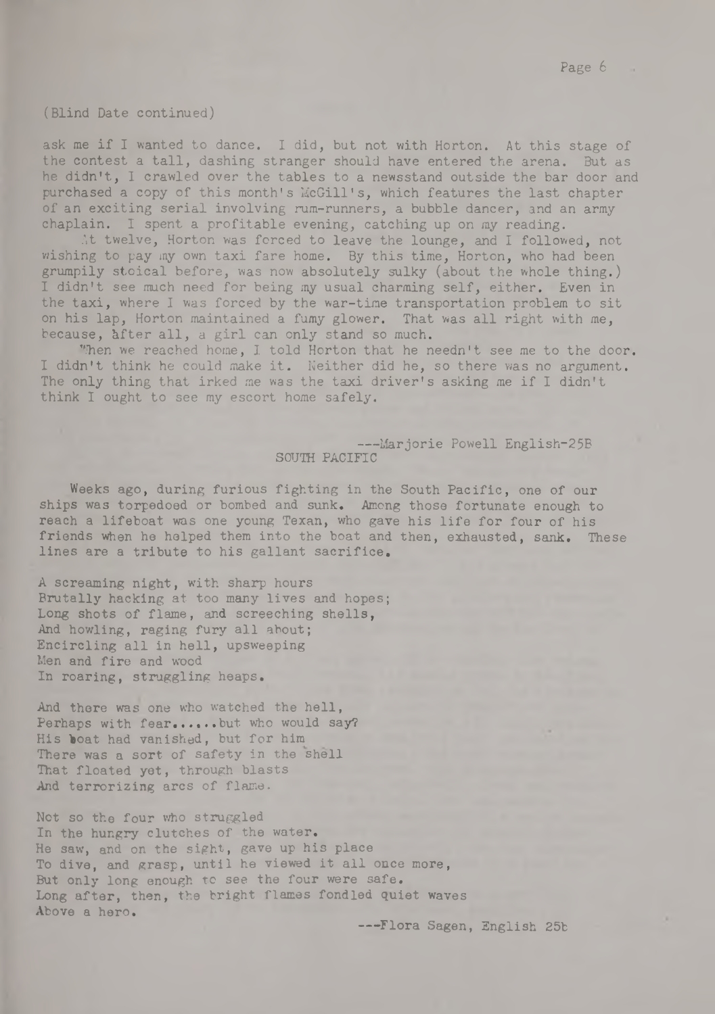(Blind Date continued)

ask me if I wanted to dance. I did, but not with Horton. At this stage of the contest a tall, dashing stranger should have entered the arena. But as he didn't, I crawled over the tables to a newsstand outside the bar door and purchased a copy of this month's McGill's, which features the last chapter of an exciting serial involving rum-runners, a bubble dancer, and an army chaplain. I spent a profitable evening, catching up on my reading.

At twelve, Horton was forced to leave the lounge, and I followed, not wishing to pay my own taxi fare home. By this time, Horton, who had been grumpily stoical before, was now absolutely sulky (about the whole thing.) I didn't see much need for being my usual charming self, either. Even in the taxi, where I was forced by the war-time transportation problem to sit on his lap, Horton maintained a fumy glower. That was all right with me, because, after all, a girl can only stand so much.

When we reached home, I told Horton that he needn't see me to the door. I didn't think he could make it. Neither did he, so there was no argument. The only thing that irked me was the taxi driver's asking me if I didn't think I ought to see my escort home safely.

## ---Marjorie Powell English-25B SOUTH PACIFIC

Weeks ago, during furious fighting in the South Pacific, one of our ships was torpedoed or bombed and sunk. Among those fortunate enough to reach a lifeboat was one young Texan, who gave his life for four of his friends when he helped them into the boat and then, exhausted, sank, These lines are a tribute to his gallant sacrifice,

A screaming night, with sharp hours Brutally hacking at too many lives and hopes; Long shots of flame, and screeching shells, And howling, raging fury all about; Encircling all in hell, upsweeping Men and fire and wood In roaring, struggling heaps.

And there was one who watched the hell, Perhaps with fear......but who would say? His boat had vanished, but for him There was a sort of safety in the shell That floated yet, through blasts And terrorizing arcs of flame.

Not so the four who struggled In the hungry clutches of the water. He saw, and on the sight, gave up his place To dive, and grasp, until he viewed it all once more, But only long enough to see the four were safe. Long after, then, the bright flames fondled quiet waves Above a hero.

— -Flora Sagen, English 25b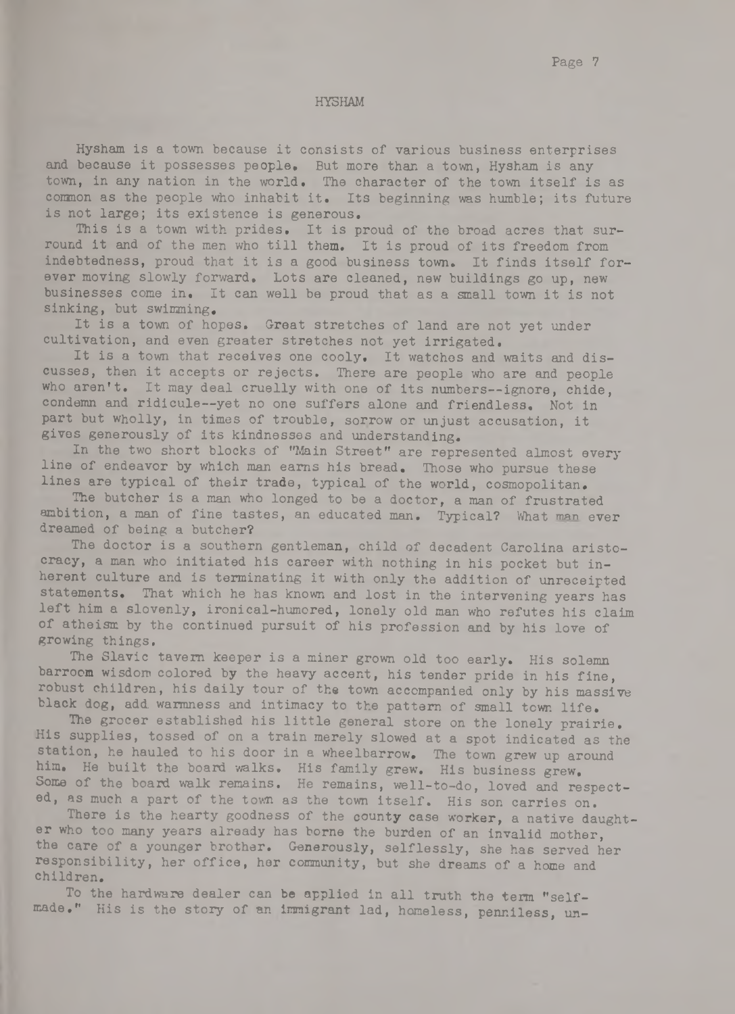Page 7

#### HYSHAM

Hysham is a town because it consists of various business enterprises and because it possesses people. But more than a town, Hysham is any town, in any nation in the world. The character of the town itself is as common as the people who inhabit it. Its beginning was humble; its future is not large; its existence is generous.

This is a town with prides. It is proud of the broad acres that surround it and of the men who till them. It is proud of its freedom from indebtedness, proud that it is a good business town. It finds itself forever moving slowly forward. Lots are cleaned, new buildings go up, new businesses come in. It can well be proud that as a small town it is not sinking, but swimming.

It is a town of hopes. Great stretches of land are not yet under cultivation, and even greater stretches not yet irrigated.

It is a town that receives one cooly. It watches and waits and discusses, then it accepts or rejects. There are people who are and people who aren't. It may deal cruelly with one of its numbers--ignore, chide, condemn and ridicule— yet no one suffers alone and friendless. Not in part but wholly, in times of trouble, sorrow or unjust accusation, it gives generously of its kindnesses and understanding.

In the two short blocks of ''Main Street" are represented almost every line of endeavor by which man earns his bread. Those who pursue these lines are typical of their trade, typical of the world, cosmopolitan.

The butcher is a man who longed to be a doctor, a man of frustrated ambition, a man of fine tastes, an educated man. Typical? What man ever dreamed of being a butcher?

The doctor is a southern gentleman, child of decadent Carolina aristocracy, a man who initiated his career with nothing in his pocket but inherent culture and is terminating it with only the addition of unreceipted statements. That which he has known and lost in the intervening years has left him a slovenly, ironical-humored, lonely old man who refutes his claim of atheism by the continued pursuit of his profession and by his love of growing things.

The Slavic tavern keeper is a miner grown old too early. His solemn barroom wisdom colored by the heavy accent, his tender pride in his fine, robust children, his daily tour of the town accompanied only by his massive black dog, add warmness and intimacy to the pattern of small town life.

The grocer established his little general store on the lonely prairie. His supplies, tossed of on a train merely slowed at a spot indicated as the station, he hauled to his door in a wheelbarrow. The town grew up around him. He built the board walks. His family grew. His business grew. Some of the board walk remains. He remains, well-to-do, loved and respected, as much a part of the town as the town itself. His son carries on.

There is the hearty goodness of the county case worker, a native daughter who too many years already has borne the burden of an invalid mother, the care of a younger brother. Generously, selflessly, she has served her responsibility, her office, her community, but she dreams of a home and children.

To the hardware dealer can be applied in all truth the term "selfmade." His is the story of an immigrant lad, homeless, penniless, un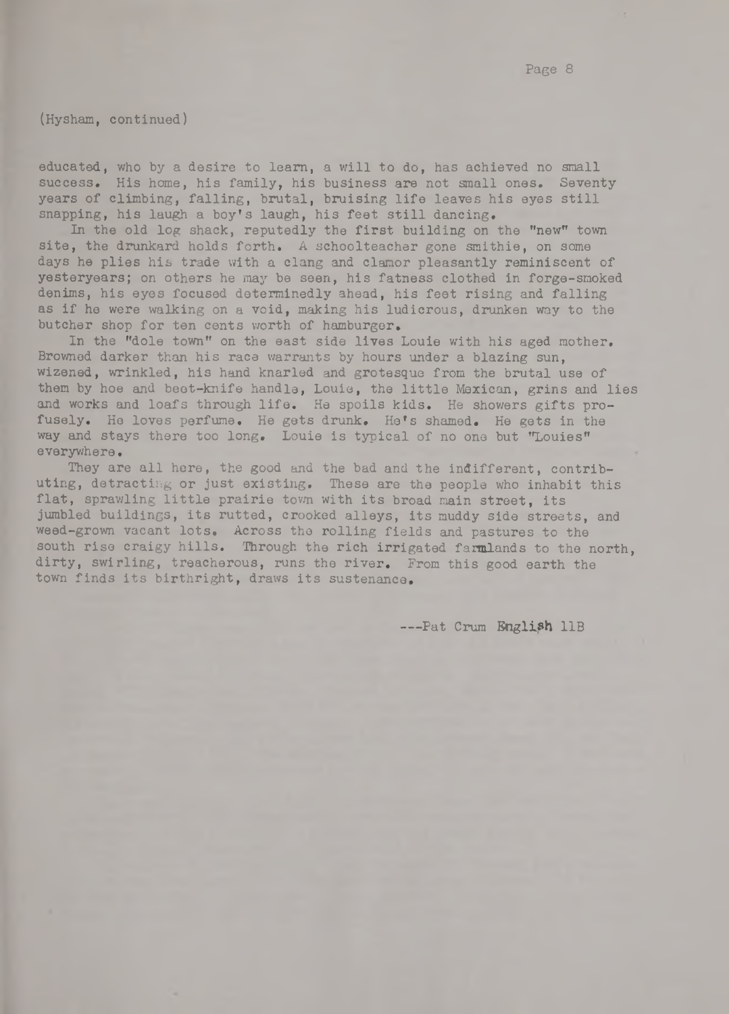(Hysham, continued)

educated, who by a desire to learn, a will to do, has achieved no small success. His home, his family, his business are not small ones. Seventy years of climbing, falling, brutal, bruising life leaves his eyes still snapping, his laugh a boy's laugh, his feet still dancing.

In the old log shack, reputedly the first building on the "new" town site, the drunkard holds forth. A schoolteacher gone smithie, on some days he plies his trade with a clang and clamor pleasantly reminiscent of yesteryears; on others he may be seen, his fatness clothed in forge-smoked denims, his eyes focused determinedly ahead, his feet rising and falling as if he were walking on a void, making his ludicrous, drunken way to the butcher shop for ten cents worth of hamburger.

In the "dole town" on the east side lives Louie with his aged mother. Browned darker than his race warrants by hours under a blazing sun, wizened, wrinkled, his hand knarled and grotesque from the brutal use of them by hoe and beet-knife handle, Louie, the little Mexican, grins and lies and works and loafs through life. He spoils kids. He showers gifts profusely. He loves perfume. He gets drunk. He's shamed. He gets in the way and stays there too long. Louie is typical of no one but "Louies" everywhere.

They are all here, the good and the bad and the indifferent, contributing, detracting or just existing. These are the people who inhabit this flat, sprawling little prairie town with its broad main street, its jumbled buildings, its rutted, crooked alleys, its muddy side streets, and weed-grown vacant lots. Across the rolling fields and pastures to the south rise craigy hills. Through the rich irrigated farmlands to the north, dirty, swirling, treacherous, runs the river. From this good earth the town finds its birthright, draws its sustenance.

---Pat Crum English 11B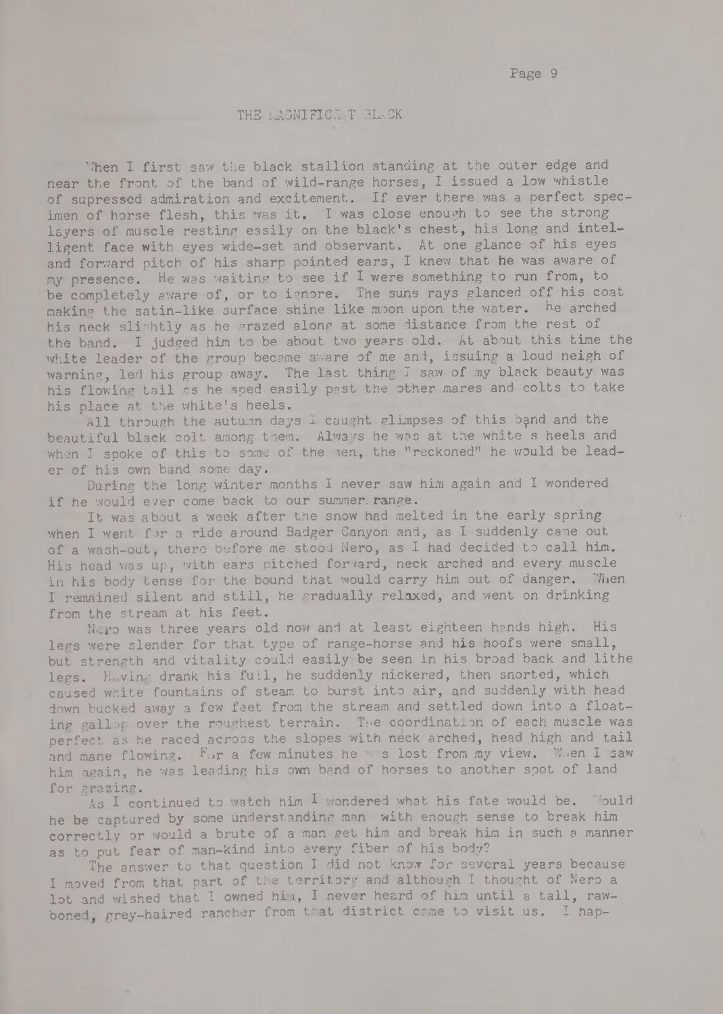## THE LAGNIFICE T 3L-CK

Then I first saw the black stallion standing at the outer edge and near the front of the band of wild-range horses, I issued a low whistle of supressed admiration and excitement. If ever there was a perfect specimen of horse flesh, this was it. I was close enough to see the strong layers of muscle resting easily on the black's chest, his long and intelligent face with eyes wide-set and observant. At one glance of his eyes and forward pitch of his sharp pointed ears, I knew that he was aware of my presence. He was waiting to see if I were something to run from, to be completely aware of, or to ignore. The suns rays glanced off his coat making the satin-like surface shine like moon upon the water. he arched his neck slightly as he grazed along at some distance from the rest of the band. I judged him to be about two years old. At about this time the white leader of the group became aware of me and, issuing a loud neigh of warning, led his group away. The last thing I saw of my black beauty was his flowing tail as he sped easily past the other mares and colts to take his place at the white's heels.

All through the autumn days  $\overline{1}$  caught glimpses of this band and the beautiful black colt among them. Always he was at the white s heels and when I spoke of this to some of the nen, the "reckoned" he would be leader of his own band some day.

During the long winter months I never saw him again and I wondered if he would ever come back to our summer range.

It was about a week after the snow had melted in the early spring when I went for a ride around Badger Canyon and, as I suddenly came out of a wash-out, there before me stood Nero, as I had decided to call him. His head was up, with ears pitched forward, neck arched and every muscle in his body tense for the bound that would carry him out of danger. Then I remained silent and still, he gradually relaxed, and went on drinking from the stream at his feet.

Nero was three years old now and at least eighteen hands high. His legs were slender for that type of range-horse and his hoofs were small, but strength and vitality could easily' be seen in his broad back and lithe legs. Heving drank his full, he suddenly nickered, then snorted, which caused white fountains of steam to burst into air, and suddenly with head down bucked away a few feet from the stream and settled down into a floating gallop over the roughest terrain. The coordination of each muscle was perfect as he raced across the slopes with neck arched, head high and tail and mane flowing. Fur a few minutes he s lost from my view. When I saw him again, he was leading his own band of horses to another spot of land for grazing.

As I continued to watch him I wondered what his fate would be. Jould he be captured by some understanding man with enough sense to break him correctly or would a brute of a man get him and break him in such a manner as to put fear of man-kind into every fiber of his body?

The answer to that question I did not know for several years because I moved from that part of the territory and although I thought of Nero a lot and wished that I owned him, I never heard of him until a tall, rawboned grey-haired rancher from that district came to visit us. I hap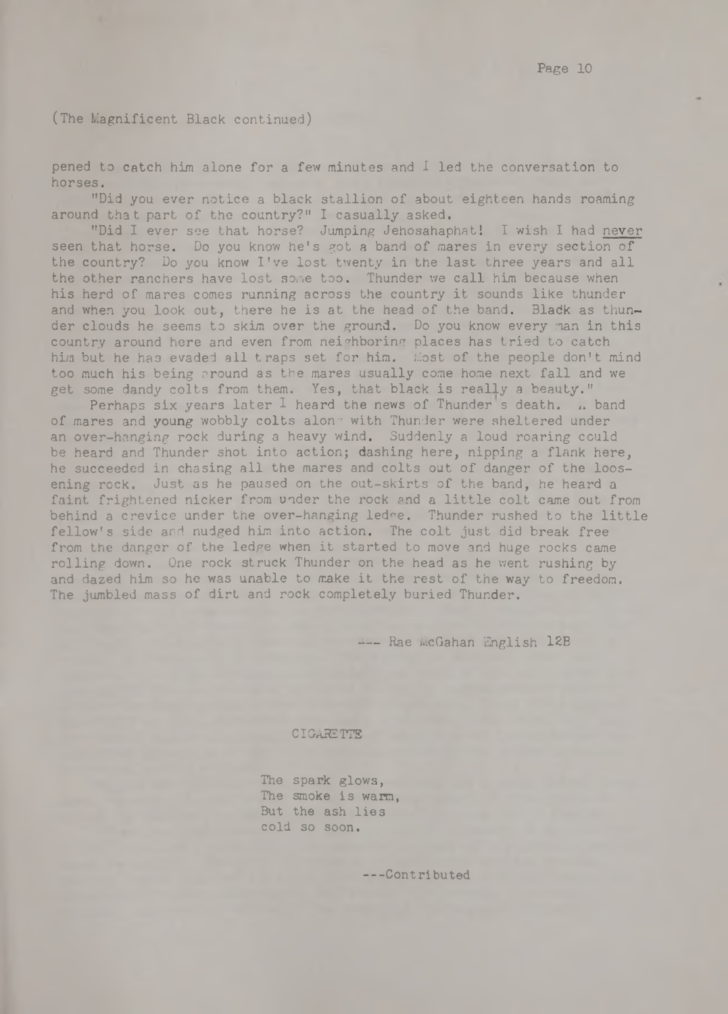(The Magnificent Black continued)

pened to catch him alone for a few minutes and I led the conversation to horses.

"Did you ever notice a black stallion of about eighteen hands roaming around that part of the country?" I casually asked.

"Did I ever see that horse? Jumping Jehosahaphat! I wish I had never seen that horse. Do you know he's got a band of mares in every section of the country? Do you know I've lost twenty in the last three years and all the other ranchers have lost some too. Thunder we call him because when his herd of mares comes running across the country it sounds like thunder and when you look out, there he is at the head of the band. Black as thunder clouds he seems to skim over the ground. Do you know every man in this country around here and even from neighboring places has tried to catch him but he has evaded all traps set for him. Most of the people don't mind too much his being around as the mares usually come home next fall and we get some dandy colts from them. Yes, that black is really a beauty."

Perhaps six years later I heard the news of Thunder s death, *u* band of mares and young wobbly colts alone with Thunder were sheltered under an over-hanging rock during a heavy wind. Suddenly a loud roaring could be heard and Thunder shot into action; dashing here, nipping a flank here, he succeeded in chasing all the mares and colts out of danger of the loosening rock. Just as he paused on the out-skirts of the band, he heard a faint frightened nicker from under the rock and a little colt came out from behind a crevice under the over-hanging ledee. Thunder rushed to the little fellow's side and nudged him into action. The colt just did break free from the danger of the ledge when it started to move and huge rocks came rolling down. One rock struck Thunder on the head as he went rushing by and dazed him so he was unable to make it the rest of the way to freedom. The jumbled mass of dirt and rock completely buried Thunder.

--- Rae McGahan English 12B

#### **CIGARETTE**

The spark glows, The smoke is warm, But the ash lies cold so soon.

-- Contributed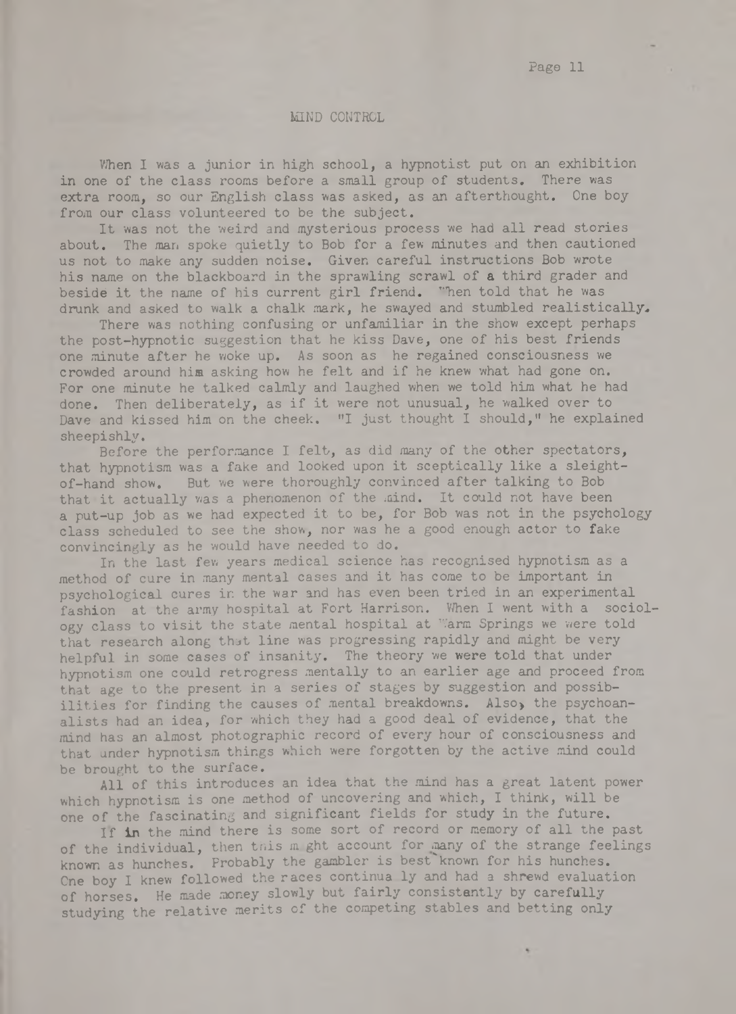#### MIND CONTROL

When I was a junior in high school, a hypnotist put on an exhibition in one of the class rooms before a small group of students. There was extra room, so our English class was asked, as an afterthought. One boy from our class volunteered to be the subject.

It was not the weird and mysterious process we had all read stories about. The man spoke quietly to Bob for a few minutes and then cautioned us not to make any sudden noise. Given careful instructions Bob wrote his name on the blackboard in the sprawling scrawl of a third grader and beside it the name of his current girl friend. "hen told that he was drunk and asked to walk a chalk mark, he swayed and stumbled realistically.

There was nothing confusing or unfamiliar in the show except perhaps the post-hypnotic suggestion that he kiss Dave, one of his best friends one minute after he woke up. As soon as he regained consciousness we crowded around him asking how he felt and if he knew what had gone on. For one minute he talked calmly and laughed when we told him what he had done. Then deliberately, as if it were not unusual, he walked over to Dave and kissed him on the cheek. "I just thought I should," he explained sheepishly.

Before the performance I felt, as did many of the other spectators, that hypnotism was a fake and looked upon it sceptically like a sleightof-hand show. But we were thoroughly convinced after talking to Bob that it actually was a phenomenon of the mind. It could not have been a put-up job as we had expected it to be, for Bob was not in the psychology class scheduled to see the show, nor was he a good enough actor to fake convincingly as he would have needed to do.

In the last few years medical science has recognised hypnotism as a method of cure in many mental cases and it has come to be important in psychological cures in the war and has even been tried in an experimental fashion at the army hospital at Fort Harrison. When I went with a sociology class to visit the state mental hospital at Warm Springs we were told that research along that line was progressing rapidly and might be very helpful in some cases of insanity. The theory we were told that under hypnotism one could retrogress mentally to an earlier age and proceed from that age to the present in a series of stages by suggestion and possibilities for finding the causes of mental breakdowns. Also, the psychoanalists had an idea, for which they had a good deal of evidence, that the mind has an almost photographic record of every hour of consciousness and that under hypnotism things which were forgotten by the active mind could be brought to the surface.

All of this introduces an idea that the mind has a great latent power which hypnotism is one method of uncovering and which, I think, will be one of the fascinating and significant fields for study in the future.

If in the mind there is some sort of record or memory of all the past of the individual, then this m ght account for many of the strange feelings known as hunches. Probably the gambler is best known for his hunches. One boy I knew followed the races continua ly and had a shrewd evaluation of horses. He made money slowly but fairly consistently by carefully studying the relative merits of the competing stables and betting only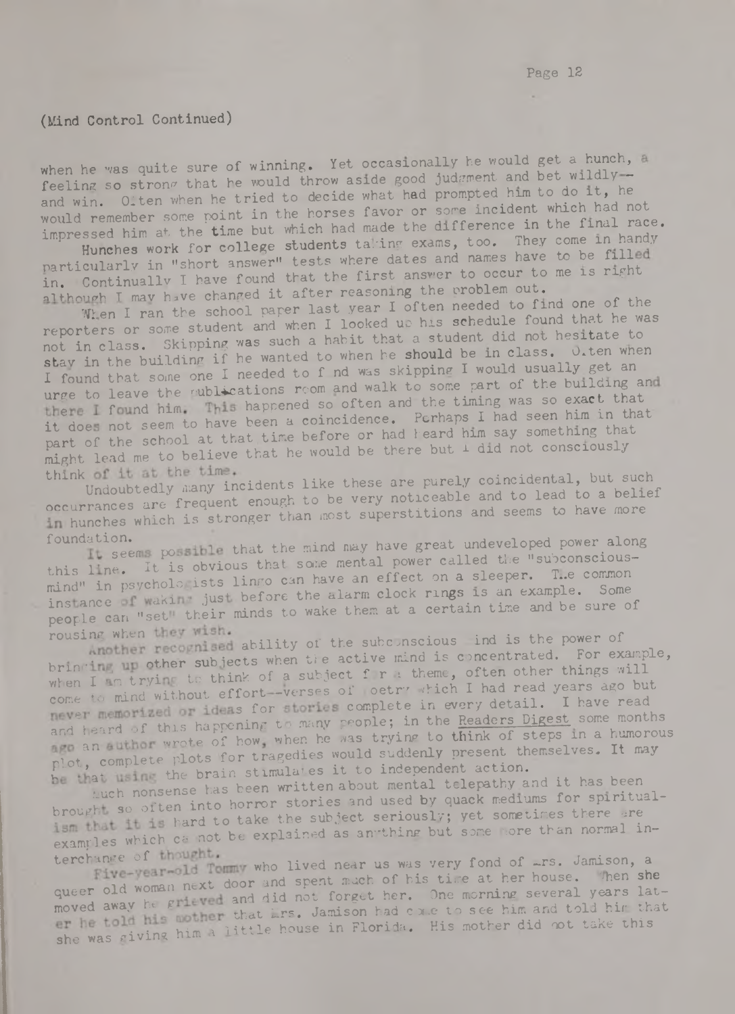# (Mind Control Continued)

when he was quite sure of winning. Yet occasionally he would get a hunch, a feeling so strong that he would throw aside good judgment and bet wildly and win. Otten when he tried to decide what had prompted him to do it, he would remember some point in the horses favor or some incident which had not impressed him at the time but which had made the difference in the final race. Hunches work for college students taking exams, too. They come in handy

particularly in "short answer" tests where dates and names have to be filled in. Continually I have found that the first answer to occur to me is right although I may have changed it after reasoning the problem out.

When I ran the school paper last year I often needed to find one of the reporters or some student and when I looked up his schedule found that he was not in class. Skipping was such a habit that a student did not hesitate to stav in the building if he wanted to when he should be in class. O.ten when I found that some one I needed to f nd was skipping I would usually get an urge to leave the *rublications* room and walk to some part of the building and there I found him. This happened so often and the timing was so exact that it does not seem to have been a coincidence. Perhaps I had seen him in that part of the school at that time before or had heard him say something that might lead me to believe that he would be there but  $1$  did not consciously

think with the time which is the set of purely coincidental, but such Undoubtedly many incidents like these are purely coincidental, but such occurrances are frequent enough to be very noticeable and to lead to a belief in hunches which is stronger than most superstitions and seems to have more

foundation.<br>It seems possible that the mind may have great undeveloped power along this line. It is obvious that some mental power called the "subconsciousmind" in psycholo ists lingo can have an effect on a sleeper. T..e common instance I waki just before the alarm clock rings is an example. Some people can "set" their minds to wake them at a certain time and be sure of

rousing when they wish.<br>recognised ability of the subconscious ind is the power of bringing up other subjects when the active mind is concentrated. For example, when I am trying to think of a subject f r a theme, often other things will come to mind without effort-verses of oetry which I had read years ago but never memorized or ideas for stories complete in every detail. I have read and heard of this happening to many people; in the Readers Digest some months an author wrote of how, when he was trying to think of steps in a humorous plot, complete plots for tragedies would suddenly present themselves. It may be that using the brain stimulates it to independent action.

tuch nonsense has been written about mental telepathy and it has been brought so often into horror stories and used by quack mediums for spiritualism that it is hard to take the subject seriously; yet sometimes there are examples which ca not be explained as anything but some more than normal in-

terchange of thought.<br>Five-wear-old Tommy who lived near us was very fond of *~rs.* Jamison, a queer old woman next door and spent much of his time at her house. Then she moved away he grieved and did not forget her. One morning several years later he told his mother that irs. Jamison had come to see him and told him that , ing him a little house in Florida. His mother did not take this she was giving him a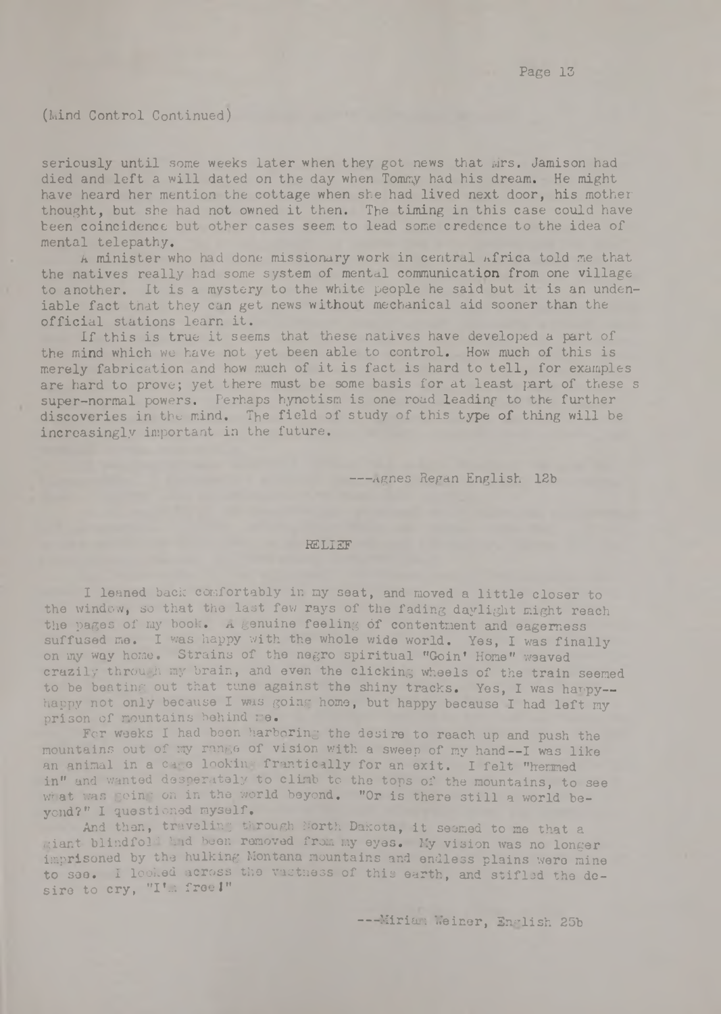## (Mind Control Continued)

seriously until some weeks later when they got news that Mrs. Jamison had died and left a will dated on the day when Tommy had his dream. He might have heard her mention the cottage when she had lived next door, his mother thought, but she had not owned it then. The timing in this case could have been coincidence but other cases seem to lead some credence to the idea of mental telepathy,

A minister who had done missionary work in central africa told me that the natives really had some system of mental communication from one village to another. It is a mystery to the white people he said but it is an undeniable fact that they can get news without mechanical aid sooner than the official stations learn it.

If this is true it seems that these natives have developed a part of the mind which we have not yet been able to control. How much of this is merely fabrication and how much of it is fact is hard to tell, for examples are hard to prove; yet there must be some basis for at least part of these s super-normal powers. Perhaps hynotism is one road leading to the further discoveries in the mind. The field of study of this type of thing will be increasingly important in the future.

--- Agnes Regan English 12b

# **RELIEF**

I leaned back comfortably in my seat, and moved a little closer to the window, so that the last few rays of the fading daylight might reach the pages of my book. A genuine feeling of contentment and eagerness suffused me. I was happy with the whole wide world. Yes, I was finally on my way home. Strains of the negro spiritual "Goinf Home*V* weaved crazily through my brain, and even the clicking wheels of the train seemed to be beating out that tune against the shiny tracks. Yes, I was harpy-happy not only because I was going home, but happy because I had left my prison of mountains behind me.

For weeks I had been harboring the desire to reach up and push the mountains out of my range of vision with a sweep of my hand— I was like an animal in a cage looking frantically for an exit. I felt "hermed in" and wanted desperately to climb to the tops of the mountains, to see what was going on in the world beyond. "Or is there still a world beyond?" I questioned myself.

And then, traveling through North Dakota, it seemed to me that a giant blindfold had been removed from my eyes. My vision was no longer imprisoned by the hulking Montana mountains and endless plains were mine to see. I looked across the vastness of this earth, and stifled the desire to cry, "I'm free I"

--- Miriam Weiner, English 25b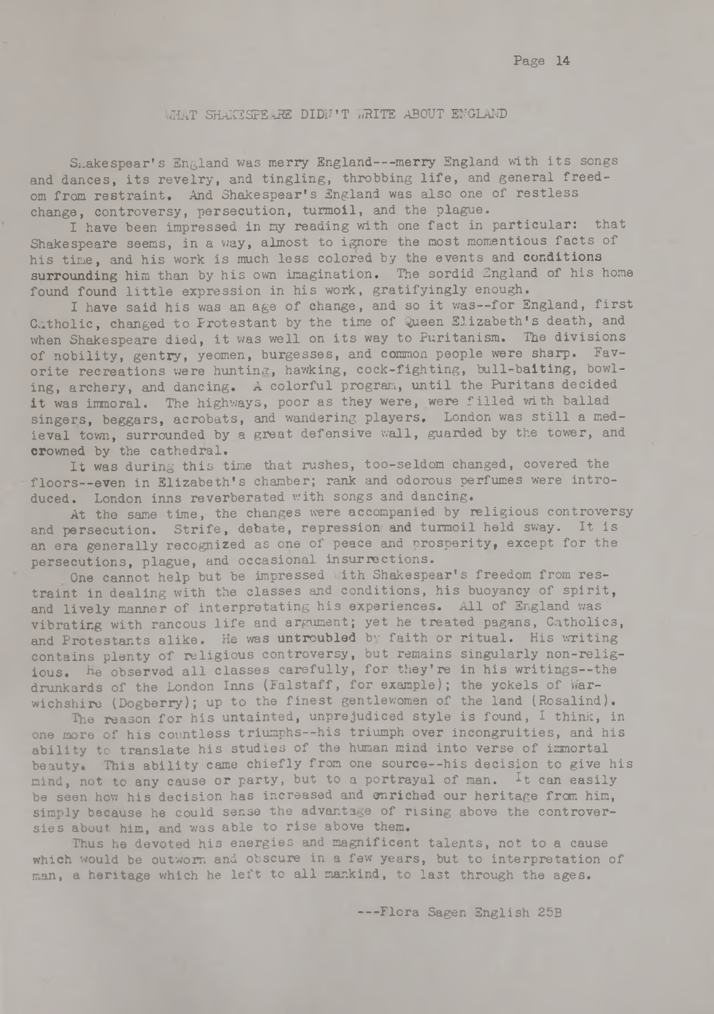## **WHAT SHAKSSPEaRE DIDN'T WRITE ABOUT ENGLAND**

Shakespear's England was merry England---merry England with its songs and dances, its revelry, and tingling, throbbing life, and general freedom from restraint. And Shakespear's England was also one of restless change, controversy, persecution, turmoil, and the plague.

I have been impressed in my reading with one fact in particular: that Shakespeare seems, in a way, almost to ignore the most momentious facts of his time, and his work is much less colored by the events and conditions surrounding him than by his own imagination. The sordid England of his home found found little expression in his work, gratifyingly enough.

I have said his was an age of change, and so it was--for England, first Catholic, changed to Protestant by the time of Queen Elizabeth's death, and when Shakespeare died, it was well on its way to Puritanism. The divisions of nobility, gentry, yeomen, burgesses, and common people were sharp. Favorite recreations were hunting, hawking, cock-fighting, bull-baiting, bowling, archery, and dancing. A colorful program, until the Puritans decided it **was** immoral. The highways, poor as they were, were filled with ballad singers, beggars, acrobats, and wandering players, London was still a medieval town, surrounded by a great defensive wall, guarded by the tower, and **orowned** by the cathedral.

It was during this time that rushes, too-seldom changed, covered the floors— even in Elizabeth's chamber; rank and odorous perfumes were introduced. London inns reverberated with songs and dancing.

At the same time, the changes were accompanied by religious controversy and persecution. Strife, debate, repression and turmoil held sway. It is an era generally recognized as one of peace and prosperity, except for the persecutions, plague, and occasional insurrections.

One cannot help but be impressed ith Shakespear's freedom from restraint in dealing with the classes and conditions, his buoyancy of spirit, and lively manner of interpretating his experiences. All of England was vibrating with rancous life and argument; yet he treated pagans, Catholics, and Protestants alike. He was untroubled by faith or ritual. His writing contains plenty of religious controversy, but remains singularly non-religious. He observed all classes carefully, for they're in his writings— the drunkards of the London Inns (Falstaff, for example); the yokels of Warwichshire (Dogberry); up to the finest gentlewomen of the land (Rosalind).

The reason for his untainted, unprejudiced style is found, I think, in one more of his countless triumphs— his triumph over incongruities, and his ability to translate his studies of the human mind into verse of immortal beauty. This ability came chiefly from one source— his decision to give his mind, not to any cause or party, but to a portrayal of man. It can easily be seen how his decision has increased and enriched our heritage from him, simply because he could sense the advantage of rising above the controversies about him, and was able to rise above them.

**Thus he** devoted his energies and magnificent talents, not to a cause **which** would be outworn and obscure in a few years, but to interpretation of man, a heritage which he left to all mankind, to last through the ages.

-- Flora Sagen English 25B